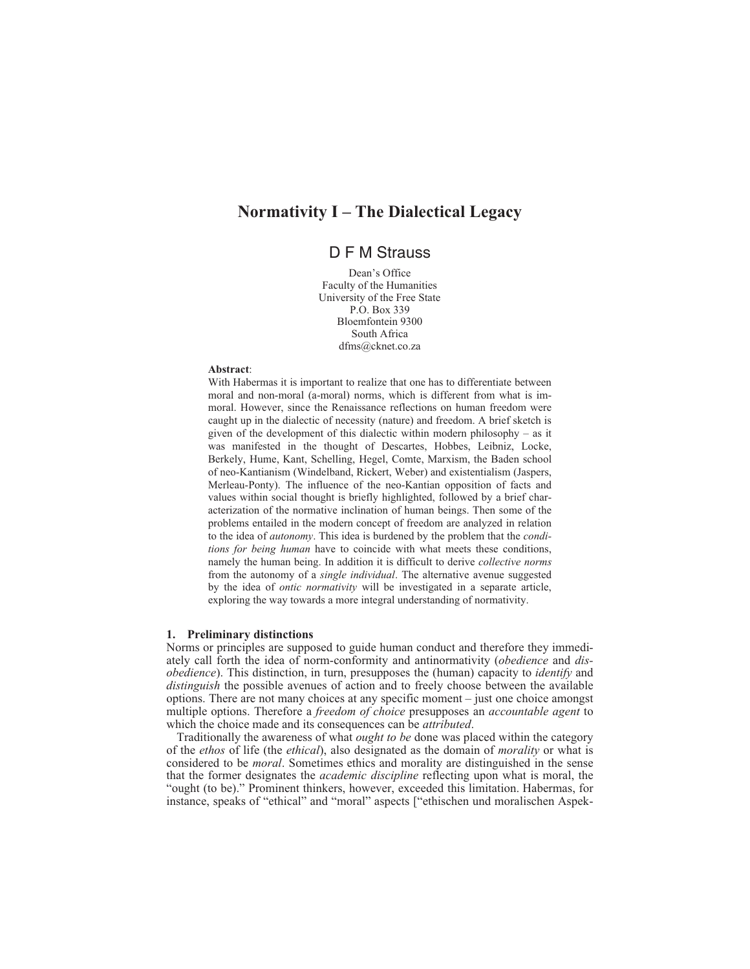# **Normativity I – The Dialectical Legacy**

# D F M Strauss

Dean's Office Faculty of the Humanities University of the Free State P.O. Box 339 Bloemfontein 9300 South Africa dfms@cknet.co.za

# **Abstract**:

With Habermas it is important to realize that one has to differentiate between moral and non-moral (a-moral) norms, which is different from what is immoral. However, since the Renaissance reflections on human freedom were caught up in the dialectic of necessity (nature) and freedom. A brief sketch is given of the development of this dialectic within modern philosophy – as it was manifested in the thought of Descartes, Hobbes, Leibniz, Locke, Berkely, Hume, Kant, Schelling, Hegel, Comte, Marxism, the Baden school of neo-Kantianism (Windelband, Rickert, Weber) and existentialism (Jaspers, Merleau-Ponty). The influence of the neo-Kantian opposition of facts and values within social thought is briefly highlighted, followed by a brief characterization of the normative inclination of human beings. Then some of the problems entailed in the modern concept of freedom are analyzed in relation to the idea of *autonomy*. This idea is burdened by the problem that the *conditions for being human* have to coincide with what meets these conditions, namely the human being. In addition it is difficult to derive *collective norms* from the autonomy of a *single individual*. The alternative avenue suggested by the idea of *ontic normativity* will be investigated in a separate article, exploring the way towards a more integral understanding of normativity.

## **1. Preliminary distinctions**

Norms or principles are supposed to guide human conduct and therefore they immediately call forth the idea of norm-conformity and antinormativity (*obedience* and *disobedience*). This distinction, in turn, presupposes the (human) capacity to *identify* and *distinguish* the possible avenues of action and to freely choose between the available options. There are not many choices at any specific moment – just one choice amongst multiple options. Therefore a *freedom of choice* presupposes an *accountable agent* to which the choice made and its consequences can be *attributed*.

Traditionally the awareness of what *ought to be* done was placed within the category of the *ethos* of life (the *ethical*), also designated as the domain of *morality* or what is considered to be *moral*. Sometimes ethics and morality are distinguished in the sense that the former designates the *academic discipline* reflecting upon what is moral, the "ought (to be)." Prominent thinkers, however, exceeded this limitation. Habermas, for instance, speaks of "ethical" and "moral" aspects ["ethischen und moralischen Aspek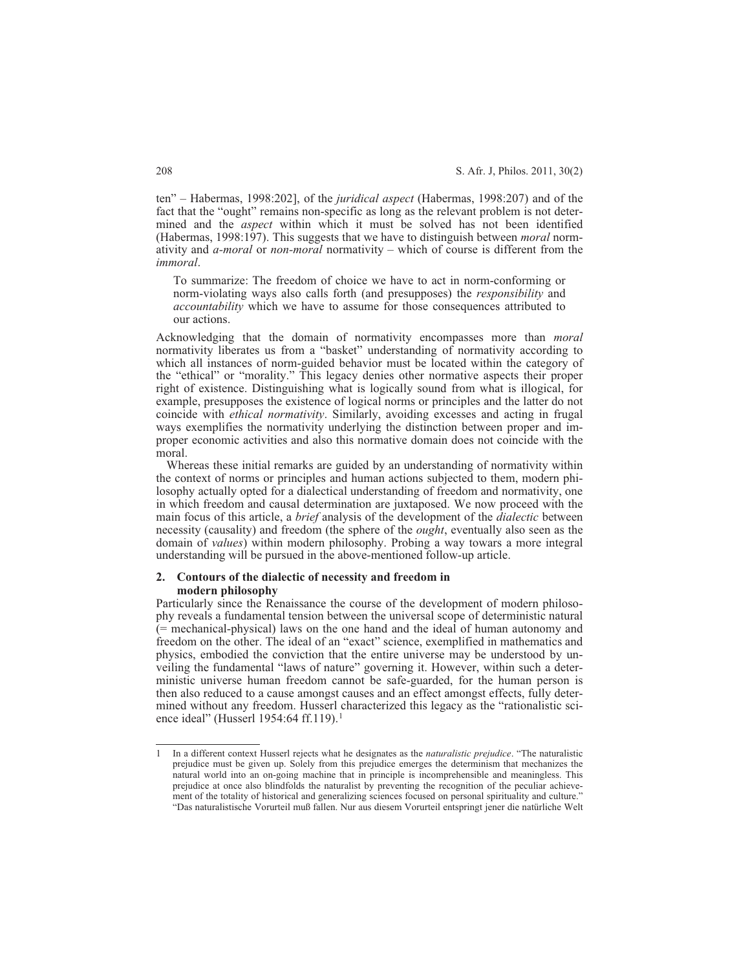ten" – Habermas, 1998:202], of the *juridical aspect* (Habermas, 1998:207) and of the fact that the "ought" remains non-specific as long as the relevant problem is not determined and the *aspect* within which it must be solved has not been identified (Habermas, 1998:197). This suggests that we have to distinguish between *moral* normativity and *a-moral* or *non-moral* normativity – which of course is different from the *immoral*.

To summarize: The freedom of choice we have to act in norm-conforming or norm-violating ways also calls forth (and presupposes) the *responsibility* and *accountability* which we have to assume for those consequences attributed to our actions.

Acknowledging that the domain of normativity encompasses more than *moral* normativity liberates us from a "basket" understanding of normativity according to which all instances of norm-guided behavior must be located within the category of the "ethical" or "morality." This legacy denies other normative aspects their proper right of existence. Distinguishing what is logically sound from what is illogical, for example, presupposes the existence of logical norms or principles and the latter do not coincide with *ethical normativity*. Similarly, avoiding excesses and acting in frugal ways exemplifies the normativity underlying the distinction between proper and improper economic activities and also this normative domain does not coincide with the moral.

Whereas these initial remarks are guided by an understanding of normativity within the context of norms or principles and human actions subjected to them, modern philosophy actually opted for a dialectical understanding of freedom and normativity, one in which freedom and causal determination are juxtaposed. We now proceed with the main focus of this article, a *brief* analysis of the development of the *dialectic* between necessity (causality) and freedom (the sphere of the *ought*, eventually also seen as the domain of *values*) within modern philosophy. Probing a way towars a more integral understanding will be pursued in the above-mentioned follow-up article.

### **2. Contours of the dialectic of necessity and freedom in modern philosophy**

Particularly since the Renaissance the course of the development of modern philosophy reveals a fundamental tension between the universal scope of deterministic natural (= mechanical-physical) laws on the one hand and the ideal of human autonomy and freedom on the other. The ideal of an "exact" science, exemplified in mathematics and physics, embodied the conviction that the entire universe may be understood by unveiling the fundamental "laws of nature" governing it. However, within such a deterministic universe human freedom cannot be safe-guarded, for the human person is then also reduced to a cause amongst causes and an effect amongst effects, fully determined without any freedom. Husserl characterized this legacy as the "rationalistic science ideal" (Husserl 1954:64 ff.119).<sup>1</sup>

<sup>1</sup> In a different context Husserl rejects what he designates as the *naturalistic prejudice*. "The naturalistic prejudice must be given up. Solely from this prejudice emerges the determinism that mechanizes the natural world into an on-going machine that in principle is incomprehensible and meaningless. This prejudice at once also blindfolds the naturalist by preventing the recognition of the peculiar achievement of the totality of historical and generalizing sciences focused on personal spirituality and culture." "Das naturalistische Vorurteil muß fallen. Nur aus diesem Vorurteil entspringt jener die natürliche Welt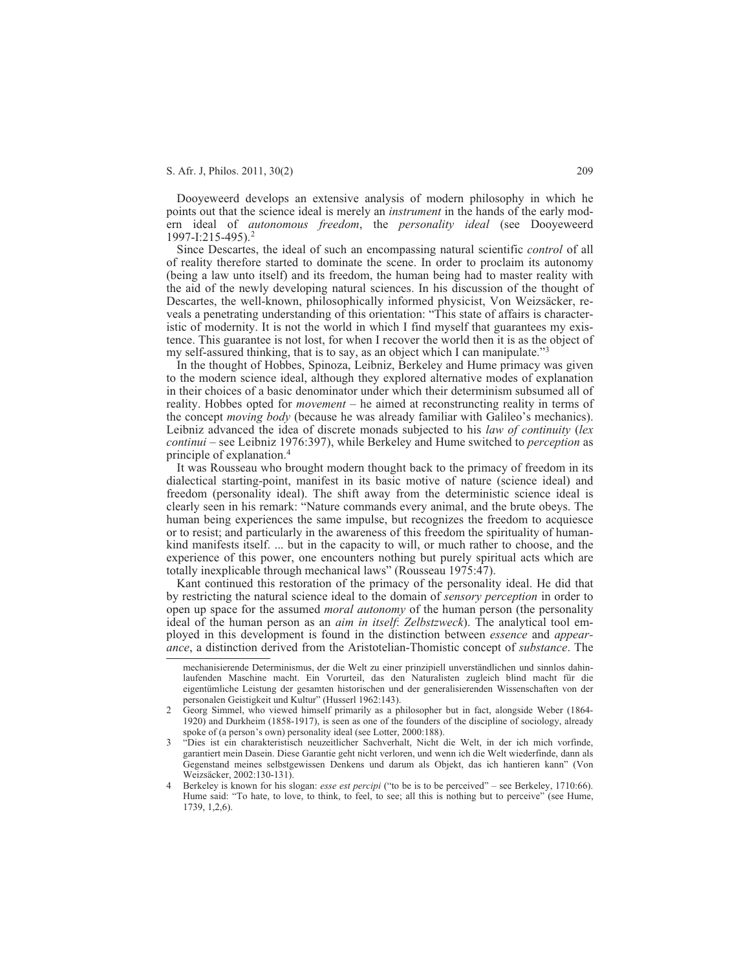#### S. Afr. J, Philos. 2011, 30(2) 209

Dooyeweerd develops an extensive analysis of modern philosophy in which he points out that the science ideal is merely an *instrument* in the hands of the early modern ideal of *autonomous freedom*, the *personality ideal* (see Dooyeweerd 1997-I:215-495).2

Since Descartes, the ideal of such an encompassing natural scientific *control* of all of reality therefore started to dominate the scene. In order to proclaim its autonomy (being a law unto itself) and its freedom, the human being had to master reality with the aid of the newly developing natural sciences. In his discussion of the thought of Descartes, the well-known, philosophically informed physicist, Von Weizsäcker, reveals a penetrating understanding of this orientation: "This state of affairs is characteristic of modernity. It is not the world in which I find myself that guarantees my existence. This guarantee is not lost, for when I recover the world then it is as the object of my self-assured thinking, that is to say, as an object which I can manipulate."<sup>3</sup>

In the thought of Hobbes, Spinoza, Leibniz, Berkeley and Hume primacy was given to the modern science ideal, although they explored alternative modes of explanation in their choices of a basic denominator under which their determinism subsumed all of reality. Hobbes opted for *movement* – he aimed at reconstruncting reality in terms of the concept *moving body* (because he was already familiar with Galileo's mechanics). Leibniz advanced the idea of discrete monads subjected to his *law of continuity* (*lex continui* – see Leibniz 1976:397), while Berkeley and Hume switched to *perception* as principle of explanation.4

It was Rousseau who brought modern thought back to the primacy of freedom in its dialectical starting-point, manifest in its basic motive of nature (science ideal) and freedom (personality ideal). The shift away from the deterministic science ideal is clearly seen in his remark: "Nature commands every animal, and the brute obeys. The human being experiences the same impulse, but recognizes the freedom to acquiesce or to resist; and particularly in the awareness of this freedom the spirituality of humankind manifests itself. ... but in the capacity to will, or much rather to choose, and the experience of this power, one encounters nothing but purely spiritual acts which are totally inexplicable through mechanical laws" (Rousseau 1975:47).

Kant continued this restoration of the primacy of the personality ideal. He did that by restricting the natural science ideal to the domain of *sensory perception* in order to open up space for the assumed *moral autonomy* of the human person (the personality ideal of the human person as an *aim in itself*: *Zelbstzweck*). The analytical tool employed in this development is found in the distinction between *essence* and *appearance*, a distinction derived from the Aristotelian-Thomistic concept of *substance*. The

mechanisierende Determinismus, der die Welt zu einer prinzipiell unverständlichen und sinnlos dahinlaufenden Maschine macht. Ein Vorurteil, das den Naturalisten zugleich blind macht für die eigentümliche Leistung der gesamten historischen und der generalisierenden Wissenschaften von der personalen Geistigkeit und Kultur" (Husserl 1962:143).

<sup>2</sup> Georg Simmel, who viewed himself primarily as a philosopher but in fact, alongside Weber (1864- 1920) and Durkheim (1858-1917), is seen as one of the founders of the discipline of sociology, already spoke of (a person's own) personality ideal (see Lotter, 2000:188).

<sup>3 &</sup>quot;Dies ist ein charakteristisch neuzeitlicher Sachverhalt, Nicht die Welt, in der ich mich vorfinde, garantiert mein Dasein. Diese Garantie geht nicht verloren, und wenn ich die Welt wiederfinde, dann als Gegenstand meines selbstgewissen Denkens und darum als Objekt, das ich hantieren kann" (Von Weizsäcker, 2002:130-131).

<sup>4</sup> Berkeley is known for his slogan: *esse est percipi* ("to be is to be perceived" – see Berkeley, 1710:66). Hume said: "To hate, to love, to think, to feel, to see; all this is nothing but to perceive" (see Hume, 1739, 1,2,6).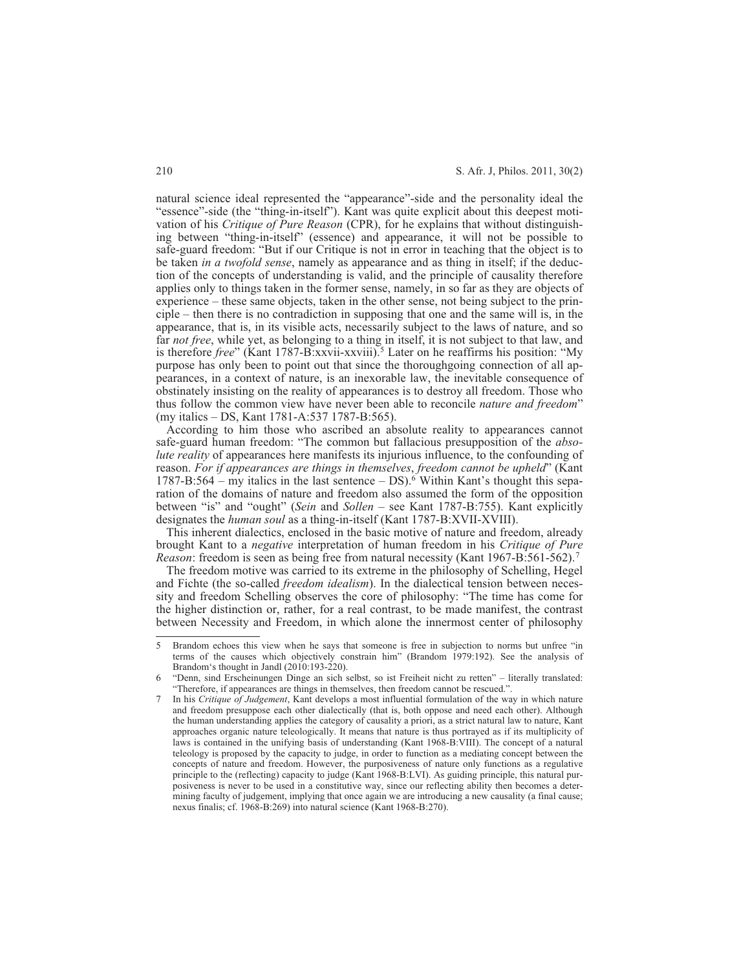natural science ideal represented the "appearance"-side and the personality ideal the "essence"-side (the "thing-in-itself"). Kant was quite explicit about this deepest motivation of his *Critique of Pure Reason* (CPR), for he explains that without distinguishing between "thing-in-itself" (essence) and appearance, it will not be possible to safe-guard freedom: "But if our Critique is not in error in teaching that the object is to be taken *in a twofold sense*, namely as appearance and as thing in itself; if the deduction of the concepts of understanding is valid, and the principle of causality therefore applies only to things taken in the former sense, namely, in so far as they are objects of experience – these same objects, taken in the other sense, not being subject to the principle – then there is no contradiction in supposing that one and the same will is, in the appearance, that is, in its visible acts, necessarily subject to the laws of nature, and so far *not free*, while yet, as belonging to a thing in itself, it is not subject to that law, and is therefore *free*" (Kant 1787-B:xxvii-xxviii).<sup>5</sup> Later on he reaffirms his position: "My purpose has only been to point out that since the thoroughgoing connection of all appearances, in a context of nature, is an inexorable law, the inevitable consequence of obstinately insisting on the reality of appearances is to destroy all freedom. Those who thus follow the common view have never been able to reconcile *nature and freedom*" (my italics – DS, Kant 1781-A:537 1787-B:565).

According to him those who ascribed an absolute reality to appearances cannot safe-guard human freedom: "The common but fallacious presupposition of the *absolute reality* of appearances here manifests its injurious influence, to the confounding of reason. *For if appearances are things in themselves*, *freedom cannot be upheld*" (Kant 1787-B:564 – my italics in the last sentence – DS).<sup>6</sup> Within Kant's thought this separation of the domains of nature and freedom also assumed the form of the opposition between "is" and "ought" (*Sein* and *Sollen* – see Kant 1787-B:755). Kant explicitly designates the *human soul* as a thing-in-itself (Kant 1787-B:XVII-XVIII).

This inherent dialectics, enclosed in the basic motive of nature and freedom, already brought Kant to a *negative* interpretation of human freedom in his *Critique of Pure Reason*: freedom is seen as being free from natural necessity (Kant 1967-B:561-562).<sup>7</sup>

The freedom motive was carried to its extreme in the philosophy of Schelling, Hegel and Fichte (the so-called *freedom idealism*). In the dialectical tension between necessity and freedom Schelling observes the core of philosophy: "The time has come for the higher distinction or, rather, for a real contrast, to be made manifest, the contrast between Necessity and Freedom, in which alone the innermost center of philosophy

<sup>5</sup> Brandom echoes this view when he says that someone is free in subjection to norms but unfree "in terms of the causes which objectively constrain him" (Brandom 1979:192). See the analysis of Brandom's thought in Jandl (2010:193-220).

<sup>6 &</sup>quot;Denn, sind Erscheinungen Dinge an sich selbst, so ist Freiheit nicht zu retten" – literally translated: "Therefore, if appearances are things in themselves, then freedom cannot be rescued.".

<sup>7</sup> In his *Critique of Judgement*, Kant develops a most influential formulation of the way in which nature and freedom presuppose each other dialectically (that is, both oppose and need each other). Although the human understanding applies the category of causality a priori, as a strict natural law to nature, Kant approaches organic nature teleologically. It means that nature is thus portrayed as if its multiplicity of laws is contained in the unifying basis of understanding (Kant 1968-B:VIII). The concept of a natural teleology is proposed by the capacity to judge, in order to function as a mediating concept between the concepts of nature and freedom. However, the purposiveness of nature only functions as a regulative principle to the (reflecting) capacity to judge (Kant 1968-B:LVI). As guiding principle, this natural purposiveness is never to be used in a constitutive way, since our reflecting ability then becomes a determining faculty of judgement, implying that once again we are introducing a new causality (a final cause; nexus finalis; cf. 1968-B:269) into natural science (Kant 1968-B:270).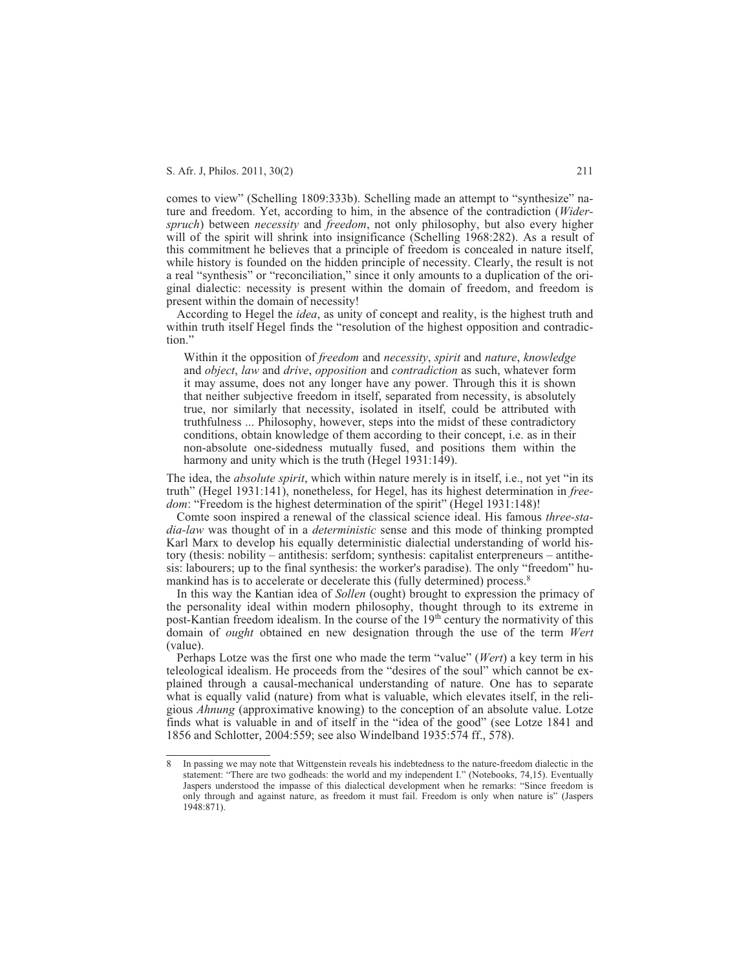comes to view" (Schelling 1809:333b). Schelling made an attempt to "synthesize" nature and freedom. Yet, according to him, in the absence of the contradiction (*Widerspruch*) between *necessity* and *freedom*, not only philosophy, but also every higher will of the spirit will shrink into insignificance (Schelling 1968:282). As a result of this commitment he believes that a principle of freedom is concealed in nature itself, while history is founded on the hidden principle of necessity. Clearly, the result is not a real "synthesis" or "reconciliation," since it only amounts to a duplication of the original dialectic: necessity is present within the domain of freedom, and freedom is present within the domain of necessity!

According to Hegel the *idea*, as unity of concept and reality, is the highest truth and within truth itself Hegel finds the "resolution of the highest opposition and contradiction."

Within it the opposition of *freedom* and *necessity*, *spirit* and *nature*, *knowledge* and *object*, *law* and *drive*, *opposition* and *contradiction* as such, whatever form it may assume, does not any longer have any power. Through this it is shown that neither subjective freedom in itself, separated from necessity, is absolutely true, nor similarly that necessity, isolated in itself, could be attributed with truthfulness ... Philosophy, however, steps into the midst of these contradictory conditions, obtain knowledge of them according to their concept, i.e. as in their non-absolute one-sidedness mutually fused, and positions them within the harmony and unity which is the truth (Hegel 1931:149).

The idea, the *absolute spirit*, which within nature merely is in itself, i.e., not yet "in its truth" (Hegel 1931:141), nonetheless, for Hegel, has its highest determination in *freedom*: "Freedom is the highest determination of the spirit" (Hegel 1931:148)!

Comte soon inspired a renewal of the classical science ideal. His famous *three-stadia-law* was thought of in a *deterministic* sense and this mode of thinking prompted Karl Marx to develop his equally deterministic dialectial understanding of world history (thesis: nobility – antithesis: serfdom; synthesis: capitalist enterpreneurs – antithesis: labourers; up to the final synthesis: the worker's paradise). The only "freedom" humankind has is to accelerate or decelerate this (fully determined) process.<sup>8</sup>

In this way the Kantian idea of *Sollen* (ought) brought to expression the primacy of the personality ideal within modern philosophy, thought through to its extreme in post-Kantian freedom idealism. In the course of the 19<sup>th</sup> century the normativity of this domain of *ought* obtained en new designation through the use of the term *Wert* (value).

Perhaps Lotze was the first one who made the term "value" (*Wert*) a key term in his teleological idealism. He proceeds from the "desires of the soul" which cannot be explained through a causal-mechanical understanding of nature. One has to separate what is equally valid (nature) from what is valuable, which elevates itself, in the religious *Ahnung* (approximative knowing) to the conception of an absolute value. Lotze finds what is valuable in and of itself in the "idea of the good" (see Lotze 1841 and 1856 and Schlotter, 2004:559; see also Windelband 1935:574 ff., 578).

<sup>8</sup> In passing we may note that Wittgenstein reveals his indebtedness to the nature-freedom dialectic in the statement: "There are two godheads: the world and my independent I." (Notebooks, 74,15). Eventually Jaspers understood the impasse of this dialectical development when he remarks: "Since freedom is only through and against nature, as freedom it must fail. Freedom is only when nature is" (Jaspers 1948:871).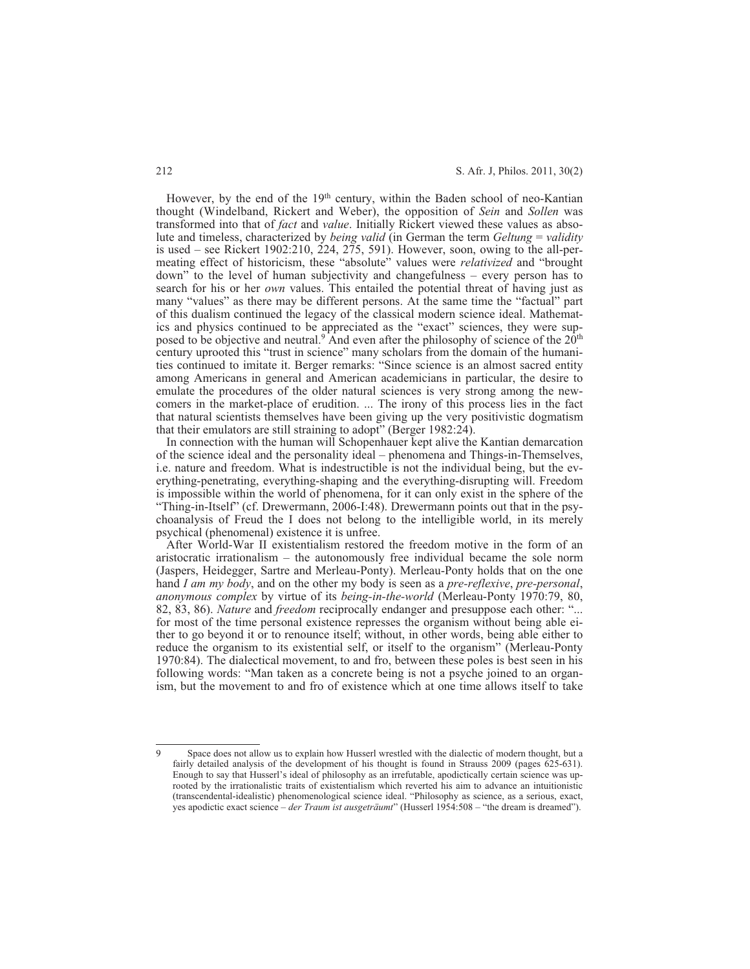However, by the end of the 19<sup>th</sup> century, within the Baden school of neo-Kantian thought (Windelband, Rickert and Weber), the opposition of *Sein* and *Sollen* was transformed into that of *fact* and *value*. Initially Rickert viewed these values as absolute and timeless, characterized by *being valid* (in German the term *Geltung* = *validity* is used – see Rickert 1902:210, 224,  $275$ , 591). However, soon, owing to the all-permeating effect of historicism, these "absolute" values were *relativized* and "brought down" to the level of human subjectivity and changefulness – every person has to search for his or her *own* values. This entailed the potential threat of having just as many "values" as there may be different persons. At the same time the "factual" part of this dualism continued the legacy of the classical modern science ideal. Mathematics and physics continued to be appreciated as the "exact" sciences, they were supposed to be objective and neutral.<sup>9</sup> And even after the philosophy of science of the  $20<sup>th</sup>$ century uprooted this "trust in science" many scholars from the domain of the humanities continued to imitate it. Berger remarks: "Since science is an almost sacred entity among Americans in general and American academicians in particular, the desire to emulate the procedures of the older natural sciences is very strong among the newcomers in the market-place of erudition. ... The irony of this process lies in the fact that natural scientists themselves have been giving up the very positivistic dogmatism that their emulators are still straining to adopt" (Berger 1982:24).

In connection with the human will Schopenhauer kept alive the Kantian demarcation of the science ideal and the personality ideal – phenomena and Things-in-Themselves, i.e. nature and freedom. What is indestructible is not the individual being, but the everything-penetrating, everything-shaping and the everything-disrupting will. Freedom is impossible within the world of phenomena, for it can only exist in the sphere of the "Thing-in-Itself" (cf. Drewermann, 2006-I:48). Drewermann points out that in the psychoanalysis of Freud the I does not belong to the intelligible world, in its merely psychical (phenomenal) existence it is unfree.

After World-War II existentialism restored the freedom motive in the form of an aristocratic irrationalism – the autonomously free individual became the sole norm (Jaspers, Heidegger, Sartre and Merleau-Ponty). Merleau-Ponty holds that on the one hand *I am my body*, and on the other my body is seen as a *pre-reflexive*, *pre-personal*, *anonymous complex* by virtue of its *being-in-the-world* (Merleau-Ponty 1970:79, 80, 82, 83, 86). *Nature* and *freedom* reciprocally endanger and presuppose each other: "... for most of the time personal existence represses the organism without being able either to go beyond it or to renounce itself; without, in other words, being able either to reduce the organism to its existential self, or itself to the organism" (Merleau-Ponty 1970:84). The dialectical movement, to and fro, between these poles is best seen in his following words: "Man taken as a concrete being is not a psyche joined to an organism, but the movement to and fro of existence which at one time allows itself to take

<sup>9</sup> Space does not allow us to explain how Husserl wrestled with the dialectic of modern thought, but a fairly detailed analysis of the development of his thought is found in Strauss 2009 (pages 625-631). Enough to say that Husserl's ideal of philosophy as an irrefutable, apodictically certain science was uprooted by the irrationalistic traits of existentialism which reverted his aim to advance an intuitionistic (transcendental-idealistic) phenomenological science ideal. "Philosophy as science, as a serious, exact, yes apodictic exact science – *der Traum ist ausgeträumt*" (Husserl 1954:508 – "the dream is dreamed").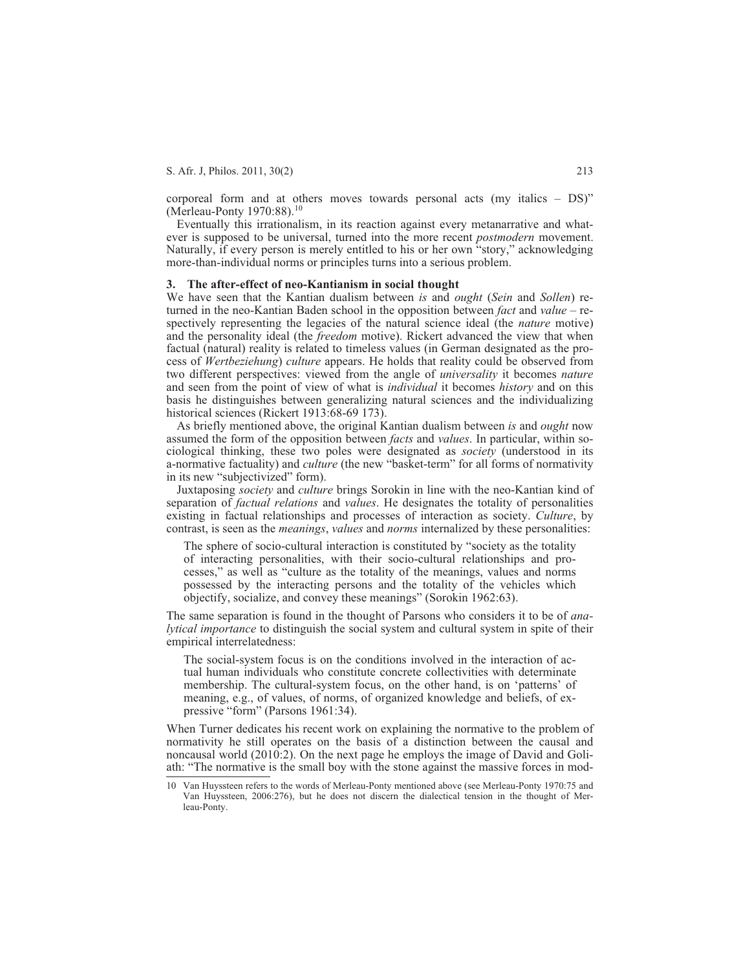S. Afr. J, Philos. 2011, 30(2) 213

corporeal form and at others moves towards personal acts (my italics – DS)" (Merleau-Ponty 1970:88).<sup>10</sup>

Eventually this irrationalism, in its reaction against every metanarrative and whatever is supposed to be universal, turned into the more recent *postmodern* movement. Naturally, if every person is merely entitled to his or her own "story," acknowledging more-than-individual norms or principles turns into a serious problem.

### **3. The after-effect of neo-Kantianism in social thought**

We have seen that the Kantian dualism between *is* and *ought* (*Sein* and *Sollen*) returned in the neo-Kantian Baden school in the opposition between *fact* and *value* – respectively representing the legacies of the natural science ideal (the *nature* motive) and the personality ideal (the *freedom* motive). Rickert advanced the view that when factual (natural) reality is related to timeless values (in German designated as the process of *Wertbeziehung*) *culture* appears. He holds that reality could be observed from two different perspectives: viewed from the angle of *universality* it becomes *nature* and seen from the point of view of what is *individual* it becomes *history* and on this basis he distinguishes between generalizing natural sciences and the individualizing historical sciences (Rickert 1913:68-69 173).

As briefly mentioned above, the original Kantian dualism between *is* and *ought* now assumed the form of the opposition between *facts* and *values*. In particular, within sociological thinking, these two poles were designated as *society* (understood in its a-normative factuality) and *culture* (the new "basket-term" for all forms of normativity in its new "subjectivized" form).

Juxtaposing *society* and *culture* brings Sorokin in line with the neo-Kantian kind of separation of *factual relations* and *values*. He designates the totality of personalities existing in factual relationships and processes of interaction as society. *Culture*, by contrast, is seen as the *meanings*, *values* and *norms* internalized by these personalities:

The sphere of socio-cultural interaction is constituted by "society as the totality of interacting personalities, with their socio-cultural relationships and processes," as well as "culture as the totality of the meanings, values and norms possessed by the interacting persons and the totality of the vehicles which objectify, socialize, and convey these meanings" (Sorokin 1962:63).

The same separation is found in the thought of Parsons who considers it to be of *analytical importance* to distinguish the social system and cultural system in spite of their empirical interrelatedness:

The social-system focus is on the conditions involved in the interaction of actual human individuals who constitute concrete collectivities with determinate membership. The cultural-system focus, on the other hand, is on 'patterns' of meaning, e.g., of values, of norms, of organized knowledge and beliefs, of expressive "form" (Parsons 1961:34).

When Turner dedicates his recent work on explaining the normative to the problem of normativity he still operates on the basis of a distinction between the causal and noncausal world (2010:2). On the next page he employs the image of David and Goliath: "The normative is the small boy with the stone against the massive forces in mod-

<sup>10</sup> Van Huyssteen refers to the words of Merleau-Ponty mentioned above (see Merleau-Ponty 1970:75 and Van Huyssteen, 2006:276), but he does not discern the dialectical tension in the thought of Merleau-Ponty.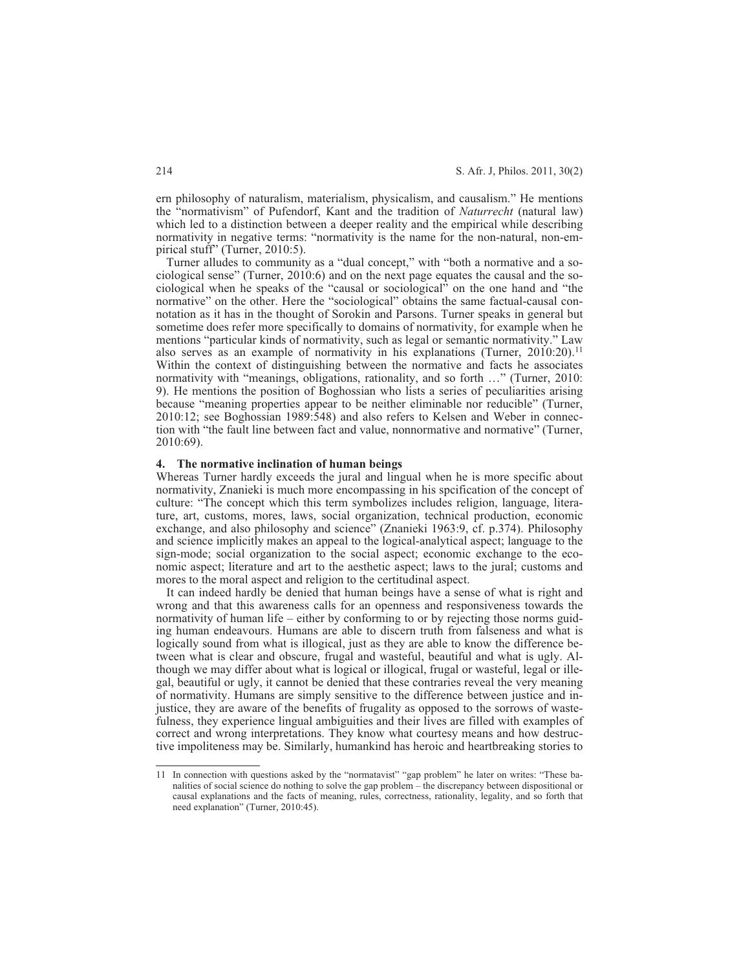ern philosophy of naturalism, materialism, physicalism, and causalism." He mentions the "normativism" of Pufendorf, Kant and the tradition of *Naturrecht* (natural law) which led to a distinction between a deeper reality and the empirical while describing normativity in negative terms: "normativity is the name for the non-natural, non-empirical stuff" (Turner, 2010:5).

Turner alludes to community as a "dual concept," with "both a normative and a sociological sense" (Turner, 2010:6) and on the next page equates the causal and the sociological when he speaks of the "causal or sociological" on the one hand and "the normative" on the other. Here the "sociological" obtains the same factual-causal connotation as it has in the thought of Sorokin and Parsons. Turner speaks in general but sometime does refer more specifically to domains of normativity, for example when he mentions "particular kinds of normativity, such as legal or semantic normativity." Law also serves as an example of normativity in his explanations (Turner, 2010:20).11 Within the context of distinguishing between the normative and facts he associates normativity with "meanings, obligations, rationality, and so forth …" (Turner, 2010: 9). He mentions the position of Boghossian who lists a series of peculiarities arising because "meaning properties appear to be neither eliminable nor reducible" (Turner, 2010:12; see Boghossian 1989:548) and also refers to Kelsen and Weber in connection with "the fault line between fact and value, nonnormative and normative" (Turner, 2010:69).

#### **4. The normative inclination of human beings**

Whereas Turner hardly exceeds the jural and lingual when he is more specific about normativity, Znanieki is much more encompassing in his spcification of the concept of culture: "The concept which this term symbolizes includes religion, language, literature, art, customs, mores, laws, social organization, technical production, economic exchange, and also philosophy and science" (Znanieki 1963:9, cf. p.374). Philosophy and science implicitly makes an appeal to the logical-analytical aspect; language to the sign-mode; social organization to the social aspect; economic exchange to the economic aspect; literature and art to the aesthetic aspect; laws to the jural; customs and mores to the moral aspect and religion to the certitudinal aspect.

It can indeed hardly be denied that human beings have a sense of what is right and wrong and that this awareness calls for an openness and responsiveness towards the normativity of human life – either by conforming to or by rejecting those norms guiding human endeavours. Humans are able to discern truth from falseness and what is logically sound from what is illogical, just as they are able to know the difference between what is clear and obscure, frugal and wasteful, beautiful and what is ugly. Although we may differ about what is logical or illogical, frugal or wasteful, legal or illegal, beautiful or ugly, it cannot be denied that these contraries reveal the very meaning of normativity. Humans are simply sensitive to the difference between justice and injustice, they are aware of the benefits of frugality as opposed to the sorrows of wastefulness, they experience lingual ambiguities and their lives are filled with examples of correct and wrong interpretations. They know what courtesy means and how destructive impoliteness may be. Similarly, humankind has heroic and heartbreaking stories to

<sup>11</sup> In connection with questions asked by the "normatavist" "gap problem" he later on writes: "These banalities of social science do nothing to solve the gap problem – the discrepancy between dispositional or causal explanations and the facts of meaning, rules, correctness, rationality, legality, and so forth that need explanation" (Turner, 2010:45).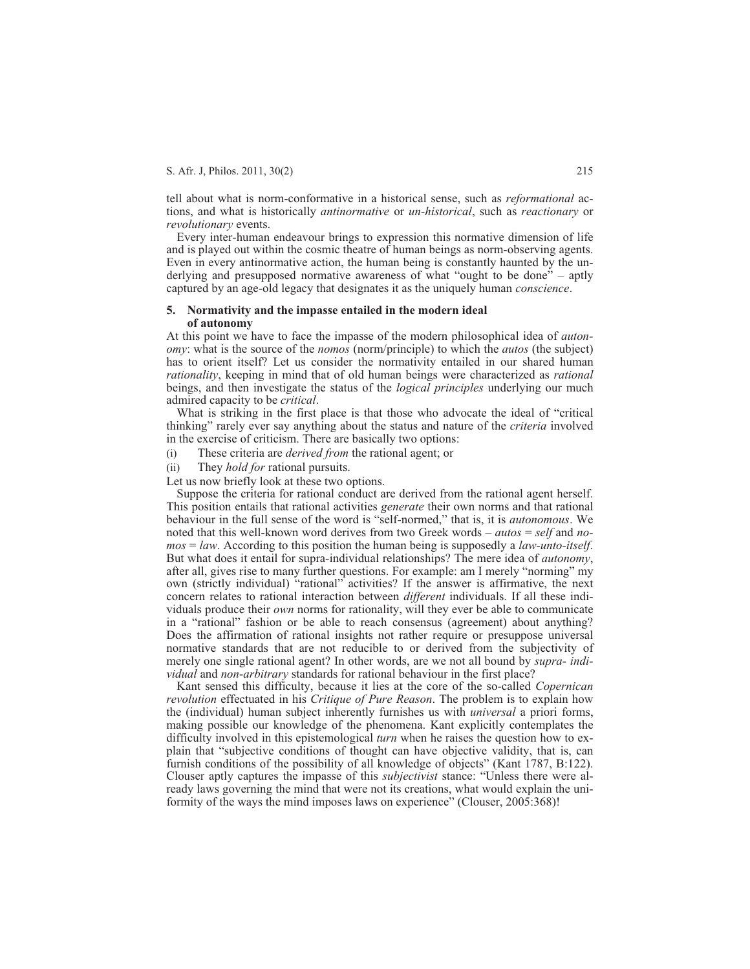S. Afr. J, Philos. 2011, 30(2) 215

tell about what is norm-conformative in a historical sense, such as *reformational* actions, and what is historically *antinormative* or *un-historical*, such as *reactionary* or *revolutionary* events.

Every inter-human endeavour brings to expression this normative dimension of life and is played out within the cosmic theatre of human beings as norm-observing agents. Even in every antinormative action, the human being is constantly haunted by the underlying and presupposed normative awareness of what "ought to be done" – aptly captured by an age-old legacy that designates it as the uniquely human *conscience*.

## **5. Normativity and the impasse entailed in the modern ideal of autonomy**

At this point we have to face the impasse of the modern philosophical idea of *autonomy*: what is the source of the *nomos* (norm/principle) to which the *autos* (the subject) has to orient itself? Let us consider the normativity entailed in our shared human *rationality*, keeping in mind that of old human beings were characterized as *rational* beings, and then investigate the status of the *logical principles* underlying our much admired capacity to be *critical*.

What is striking in the first place is that those who advocate the ideal of "critical thinking" rarely ever say anything about the status and nature of the *criteria* involved in the exercise of criticism. There are basically two options:

- (i) These criteria are *derived from* the rational agent; or
- (ii) They *hold for* rational pursuits.
- Let us now briefly look at these two options.

Suppose the criteria for rational conduct are derived from the rational agent herself. This position entails that rational activities *generate* their own norms and that rational behaviour in the full sense of the word is "self-normed," that is, it is *autonomous*. We noted that this well-known word derives from two Greek words – *autos* = *self* and *nomos* = *law*. According to this position the human being is supposedly a *law-unto-itself*. But what does it entail for supra-individual relationships? The mere idea of *autonomy*, after all, gives rise to many further questions. For example: am I merely "norming" my own (strictly individual) "rational" activities? If the answer is affirmative, the next concern relates to rational interaction between *different* individuals. If all these individuals produce their *own* norms for rationality, will they ever be able to communicate in a "rational" fashion or be able to reach consensus (agreement) about anything? Does the affirmation of rational insights not rather require or presuppose universal normative standards that are not reducible to or derived from the subjectivity of merely one single rational agent? In other words, are we not all bound by *supra- individual* and *non-arbitrary* standards for rational behaviour in the first place?

Kant sensed this difficulty, because it lies at the core of the so-called *Copernican revolution* effectuated in his *Critique of Pure Reason*. The problem is to explain how the (individual) human subject inherently furnishes us with *universal* a priori forms, making possible our knowledge of the phenomena. Kant explicitly contemplates the difficulty involved in this epistemological *turn* when he raises the question how to explain that "subjective conditions of thought can have objective validity, that is, can furnish conditions of the possibility of all knowledge of objects" (Kant 1787, B:122). Clouser aptly captures the impasse of this *subjectivist* stance: "Unless there were already laws governing the mind that were not its creations, what would explain the uniformity of the ways the mind imposes laws on experience" (Clouser, 2005:368)!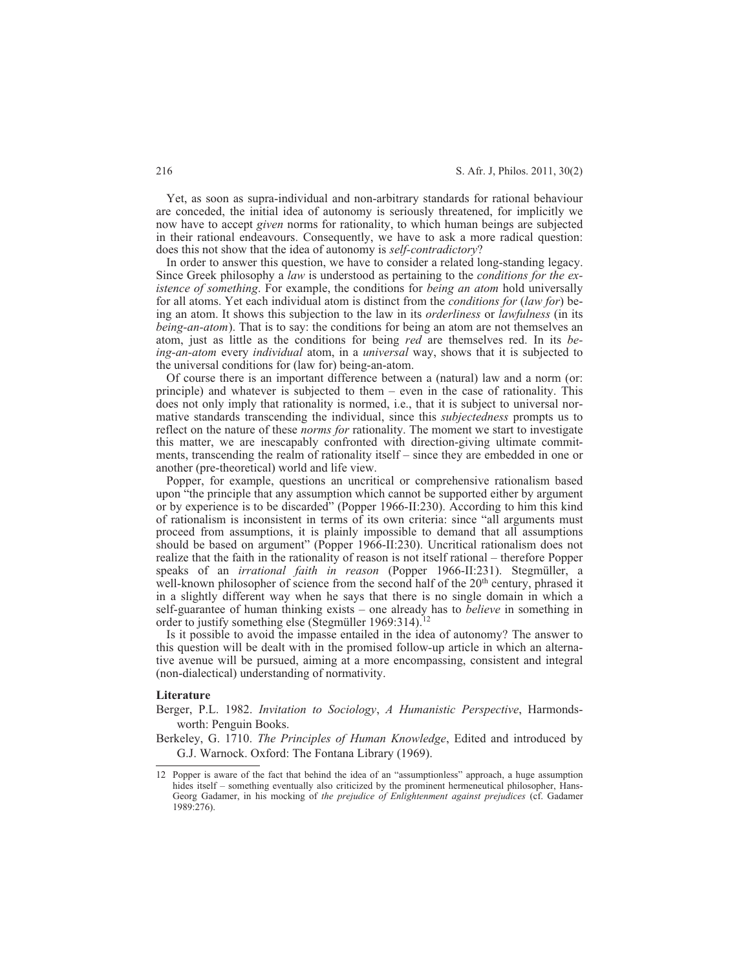Yet, as soon as supra-individual and non-arbitrary standards for rational behaviour are conceded, the initial idea of autonomy is seriously threatened, for implicitly we now have to accept *given* norms for rationality, to which human beings are subjected in their rational endeavours. Consequently, we have to ask a more radical question: does this not show that the idea of autonomy is *self-contradictory*?

In order to answer this question, we have to consider a related long-standing legacy. Since Greek philosophy a *law* is understood as pertaining to the *conditions for the existence of something*. For example, the conditions for *being an atom* hold universally for all atoms. Yet each individual atom is distinct from the *conditions for* (*law for*) being an atom. It shows this subjection to the law in its *orderliness* or *lawfulness* (in its *being-an-atom*). That is to say: the conditions for being an atom are not themselves an atom, just as little as the conditions for being *red* are themselves red. In its *being-an-atom* every *individual* atom, in a *universal* way, shows that it is subjected to the universal conditions for (law for) being-an-atom.

Of course there is an important difference between a (natural) law and a norm (or: principle) and whatever is subjected to them – even in the case of rationality. This does not only imply that rationality is normed, i.e., that it is subject to universal normative standards transcending the individual, since this *subjectedness* prompts us to reflect on the nature of these *norms for* rationality. The moment we start to investigate this matter, we are inescapably confronted with direction-giving ultimate commitments, transcending the realm of rationality itself – since they are embedded in one or another (pre-theoretical) world and life view.

Popper, for example, questions an uncritical or comprehensive rationalism based upon "the principle that any assumption which cannot be supported either by argument or by experience is to be discarded" (Popper 1966-II:230). According to him this kind of rationalism is inconsistent in terms of its own criteria: since "all arguments must proceed from assumptions, it is plainly impossible to demand that all assumptions should be based on argument" (Popper 1966-II:230). Uncritical rationalism does not realize that the faith in the rationality of reason is not itself rational – therefore Popper speaks of an *irrational faith in reason* (Popper 1966-II:231). Stegmüller, a well-known philosopher of science from the second half of the 20<sup>th</sup> century, phrased it in a slightly different way when he says that there is no single domain in which a self-guarantee of human thinking exists – one already has to *believe* in something in order to justify something else (Stegmüller 1969:314).12

Is it possible to avoid the impasse entailed in the idea of autonomy? The answer to this question will be dealt with in the promised follow-up article in which an alternative avenue will be pursued, aiming at a more encompassing, consistent and integral (non-dialectical) understanding of normativity.

#### **Literature**

- Berger, P.L. 1982. *Invitation to Sociology*, *A Humanistic Perspective*, Harmondsworth: Penguin Books.
- Berkeley, G. 1710. *The Principles of Human Knowledge*, Edited and introduced by G.J. Warnock. Oxford: The Fontana Library (1969).

<sup>12</sup> Popper is aware of the fact that behind the idea of an "assumptionless" approach, a huge assumption hides itself – something eventually also criticized by the prominent hermeneutical philosopher, Hans-Georg Gadamer, in his mocking of *the prejudice of Enlightenment against prejudices* (cf. Gadamer 1989:276).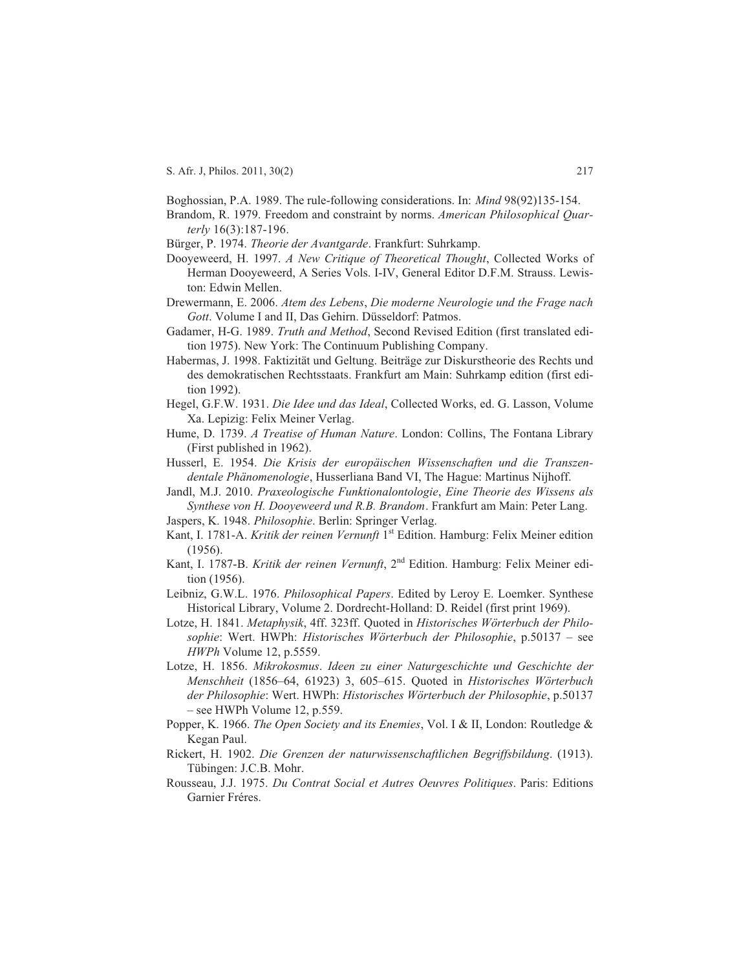Boghossian, P.A. 1989. The rule-following considerations. In: *Mind* 98(92)135-154.

- Brandom, R. 1979. Freedom and constraint by norms. *American Philosophical Quarterly* 16(3):187-196.
- Bürger, P. 1974. *Theorie der Avantgarde*. Frankfurt: Suhrkamp.
- Dooyeweerd, H. 1997. *A New Critique of Theoretical Thought*, Collected Works of Herman Dooyeweerd, A Series Vols. I-IV, General Editor D.F.M. Strauss. Lewiston: Edwin Mellen.
- Drewermann, E. 2006. *Atem des Lebens*, *Die moderne Neurologie und the Frage nach Gott*. Volume I and II, Das Gehirn. Düsseldorf: Patmos.
- Gadamer, H-G. 1989. *Truth and Method*, Second Revised Edition (first translated edition 1975). New York: The Continuum Publishing Company.
- Habermas, J. 1998. Faktizität und Geltung. Beiträge zur Diskurstheorie des Rechts und des demokratischen Rechtsstaats. Frankfurt am Main: Suhrkamp edition (first edition 1992).
- Hegel, G.F.W. 1931. *Die Idee und das Ideal*, Collected Works, ed. G. Lasson, Volume Xa. Lepizig: Felix Meiner Verlag.
- Hume, D. 1739. *A Treatise of Human Nature*. London: Collins, The Fontana Library (First published in 1962).
- Husserl, E. 1954. *Die Krisis der europäischen Wissenschaften und die Transzendentale Phänomenologie*, Husserliana Band VI, The Hague: Martinus Nijhoff.
- Jandl, M.J. 2010. *Praxeologische Funktionalontologie*, *Eine Theorie des Wissens als Synthese von H. Dooyeweerd und R.B. Brandom*. Frankfurt am Main: Peter Lang.
- Jaspers, K. 1948. *Philosophie*. Berlin: Springer Verlag.
- Kant, I. 1781-A. *Kritik der reinen Vernunft* 1st Edition. Hamburg: Felix Meiner edition (1956).
- Kant, I. 1787-B. *Kritik der reinen Vernunft*, 2<sup>nd</sup> Edition. Hamburg: Felix Meiner edition (1956).
- Leibniz, G.W.L. 1976. *Philosophical Papers*. Edited by Leroy E. Loemker. Synthese Historical Library, Volume 2. Dordrecht-Holland: D. Reidel (first print 1969).
- Lotze, H. 1841. *Metaphysik*, 4ff. 323ff. Quoted in *Historisches Wörterbuch der Philosophie*: Wert. HWPh: *Historisches Wörterbuch der Philosophie*, p.50137 – see *HWPh* Volume 12, p.5559.
- Lotze, H. 1856. *Mikrokosmus*. *Ideen zu einer Naturgeschichte und Geschichte der Menschheit* (1856–64, 61923) 3, 605–615. Quoted in *Historisches Wörterbuch der Philosophie*: Wert. HWPh: *Historisches Wörterbuch der Philosophie*, p.50137 – see HWPh Volume 12, p.559.
- Popper, K. 1966. *The Open Society and its Enemies*, Vol. I & II, London: Routledge & Kegan Paul.
- Rickert, H. 1902. *Die Grenzen der naturwissenschaftlichen Begriffsbildung*. (1913). Tübingen: J.C.B. Mohr.
- Rousseau, J.J. 1975. *Du Contrat Social et Autres Oeuvres Politiques*. Paris: Editions Garnier Fréres.